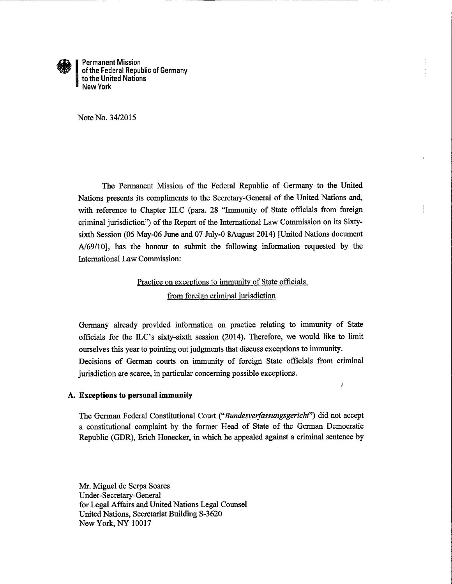

**Permanent Mission** of the Federal Republic of Germany to the United Nations **New York** 

Note No. 34/2015

The Permanent Mission of the Federal Republic of Germany to the United Nations presents its compliments to the Secretary-General of the United Nations and, with reference to Chapter III.C (para. 28 "Immunity of State officials from foreign criminal jurisdiction") of the Report of the International Law Commission on its Sixtysixth Session (05 May-06 June and 07 July-0 8August 2014) [United Nations document A/69/10], has the honour to submit the following information requested by the **International Law Commission:** 

# Practice on exceptions to immunity of State officials from foreign criminal jurisdiction

Germany already provided information on practice relating to immunity of State officials for the ILC's sixty-sixth session (2014). Therefore, we would like to limit ourselves this year to pointing out judgments that discuss exceptions to immunity. Decisions of German courts on immunity of foreign State officials from criminal jurisdiction are scarce, in particular concerning possible exceptions.

 $\rlap{/}$ 

#### A. Exceptions to personal immunity

The German Federal Constitutional Court ("Bundesverfassungsgericht") did not accept a constitutional complaint by the former Head of State of the German Democratic Republic (GDR), Erich Honecker, in which he appealed against a criminal sentence by

Mr. Miguel de Serpa Soares Under-Secretary-General for Legal Affairs and United Nations Legal Counsel United Nations, Secretariat Building S-3620 New York, NY 10017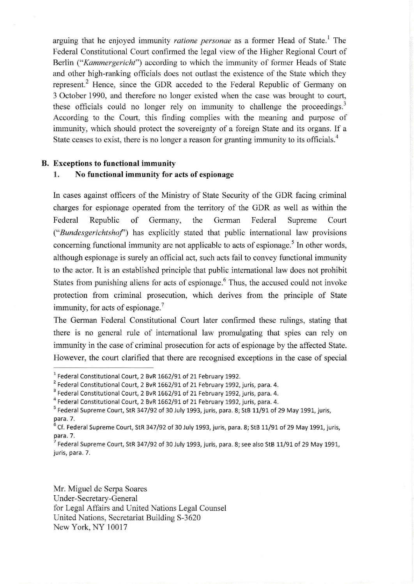arguing that he enjoyed immunity *ratione personae* as a former Head of State.<sup>1</sup> The Federal Constitutional Court confirmed the legal view of the Higher Regional Court of Berlin ("Kammergericht") according to which the immunity of former Heads of State and other high-ranking officials does not outlast the existence of the State which they represent.<sup>2</sup> Hence, since the GDR acceded to the Federal Republic of Germany on 3 October 1990, and therefore no longer existed when the case was brought to court, these officials could no longer rely on immunity to challenge the proceedings.<sup>3</sup> According to the Court, this finding complies with the meaning and purpose of immunity, which should protect the sovereignty of a foreign State and its organs. If a State ceases to exist, there is no longer a reason for granting immunity to its officials.<sup>4</sup>

# B. Exceptions to functional immunity

# 1. No functional immunity for acts of espionage

In cases against officers of the Ministry of State Security of the GDR facing criminal charges for espionage operated from the territory of the GDR as well as within the Federal Republic of Germany, the German Federal Supreme Court ("Bundesgerichtshof') has explicitly stated that public international law provisions concerning functional immunity are not applicable to acts of espionage.<sup>5</sup> In other words, although espionage is surely an official act, such acts fail to convey functional immunity to the actor. It is an established principle that public intemational law does not prohibit States from punishing aliens for acts of espionage.<sup>6</sup> Thus, the accused could not invoke protection from criminal prosecution, which derives from the principle of State immunity, for acts of espionage.<sup>7</sup>

The German Federal Constitutional Court later confirmed these rulings, stating that there is no general rule of international law promulgating that spies can rely on immunity in the case of criminal prosecution for acts of espionage by the affected State. However, the court clarified that there are recognised exceptions in the case of special

Mr. Miguel de Serpa Soares Under-Secretary-General for Legal Affairs and United Nations Legal Counsel United Nations, Secretariat Building S-3620 New York, NY 10017

<sup>1</sup> Federal Constitutional Court, 2 BvR 1662/91 of 21 February 1992.

 $2$  Federal Constitutional Court, 2 BvR 1662/91 of 21 February 1992, juris, para. 4.

<sup>&</sup>lt;sup>3</sup> Federal Constitutional Court, 2 BvR 1662/91 of 21 February 1992, juris, para. 4.

<sup>4</sup> Federal Constitutional Court, 2 BvR 1662/91 of 21 February 1992, juris, para. 4.

<sup>&</sup>lt;sup>5</sup> Federal Supreme Court, StR 347/92 of 30 July 1993, juris, para. 8; StB 11/91 of 29 May 1991, juris, para. 7.

 $^6$  Cf. Federal Supreme Court, StR 347/92 of 30 July 1993, juris, para. 8; StB 11/91 of 29 May 1991, juris, para. 7.

Federal Supreme Court, StR 347/92 of 30 July 1993, juris, para. 8; see also StB 11/91 of 29 May 1991, juris, para. 7.